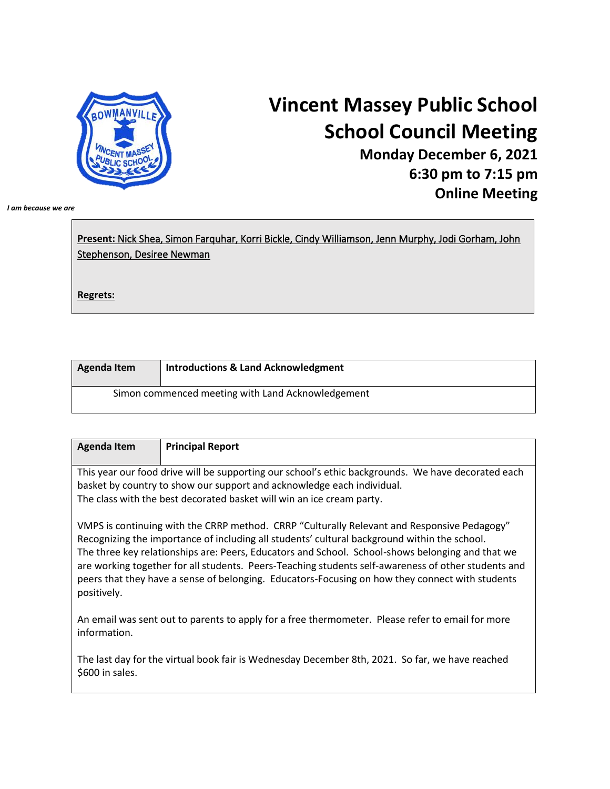

## **Vincent Massey Public School School Council Meeting**

**Monday December 6, 2021 6:30 pm to 7:15 pm Online Meeting**

*I am because we are*

**Present:** Nick Shea, Simon Farquhar, Korri Bickle, Cindy Williamson, Jenn Murphy, Jodi Gorham, John Stephenson, Desiree Newman **Regrets:**

| Agenda Item | <b>Introductions &amp; Land Acknowledgment</b>    |
|-------------|---------------------------------------------------|
|             | Simon commenced meeting with Land Acknowledgement |

| <b>Agenda Item</b>                                                                                                                                                                                                                                                                                                                                                                                                                                                                                                       | <b>Principal Report</b>                                                                            |
|--------------------------------------------------------------------------------------------------------------------------------------------------------------------------------------------------------------------------------------------------------------------------------------------------------------------------------------------------------------------------------------------------------------------------------------------------------------------------------------------------------------------------|----------------------------------------------------------------------------------------------------|
|                                                                                                                                                                                                                                                                                                                                                                                                                                                                                                                          |                                                                                                    |
|                                                                                                                                                                                                                                                                                                                                                                                                                                                                                                                          | This year our food drive will be supporting our school's ethic backgrounds. We have decorated each |
|                                                                                                                                                                                                                                                                                                                                                                                                                                                                                                                          | basket by country to show our support and acknowledge each individual.                             |
|                                                                                                                                                                                                                                                                                                                                                                                                                                                                                                                          | The class with the best decorated basket will win an ice cream party.                              |
| VMPS is continuing with the CRRP method. CRRP "Culturally Relevant and Responsive Pedagogy"<br>Recognizing the importance of including all students' cultural background within the school.<br>The three key relationships are: Peers, Educators and School. School-shows belonging and that we<br>are working together for all students. Peers-Teaching students self-awareness of other students and<br>peers that they have a sense of belonging. Educators-Focusing on how they connect with students<br>positively. |                                                                                                    |

An email was sent out to parents to apply for a free thermometer. Please refer to email for more information.

The last day for the virtual book fair is Wednesday December 8th, 2021. So far, we have reached \$600 in sales.